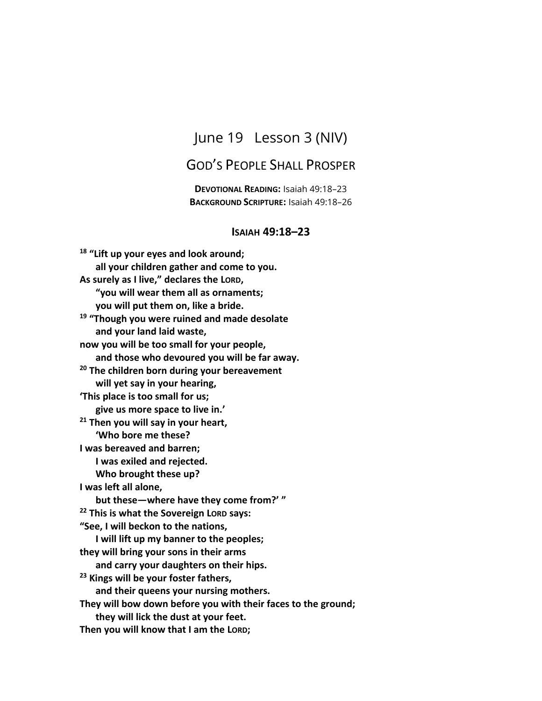# June 19 Lesson 3 (NIV)

# GOD'S PEOPLE SHALL PROSPER

**DEVOTIONAL READING:** Isaiah 49:18–23 **BACKGROUND SCRIPTURE:** Isaiah 49:18–26

#### **ISAIAH 49:18–23**

**<sup>18</sup> "Lift up your eyes and look around; all your children gather and come to you. As surely as I live," declares the LORD, "you will wear them all as ornaments; you will put them on, like a bride. 19 "Though you were ruined and made desolate and your land laid waste, now you will be too small for your people, and those who devoured you will be far away. <sup>20</sup> The children born during your bereavement will yet say in your hearing, 'This place is too small for us; give us more space to live in.' <sup>21</sup> Then you will say in your heart, 'Who bore me these? I was bereaved and barren; I was exiled and rejected. Who brought these up? I was left all alone, but these—where have they come from?' " <sup>22</sup> This is what the Sovereign LORD says: "See, I will beckon to the nations, I will lift up my banner to the peoples; they will bring your sons in their arms and carry your daughters on their hips. <sup>23</sup> Kings will be your foster fathers, and their queens your nursing mothers. They will bow down before you with their faces to the ground; they will lick the dust at your feet. Then you will know that I am the LORD;**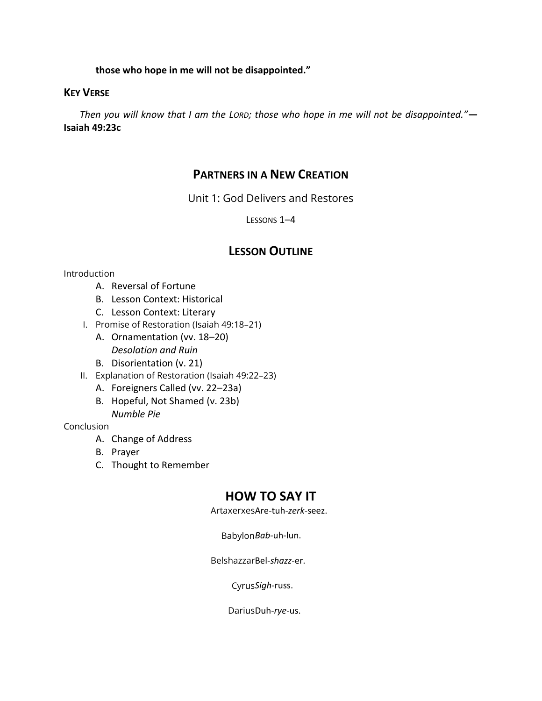#### **those who hope in me will not be disappointed."**

### **KEY VERSE**

*Then you will know that I am the LORD; those who hope in me will not be disappointed."***— Isaiah 49:23c**

### **PARTNERS IN A NEW CREATION**

Unit 1: God Delivers and Restores

LESSONS 1–4

# **LESSON OUTLINE**

#### Introduction

- A. Reversal of Fortune
- B. Lesson Context: Historical
- C. Lesson Context: Literary
- I. Promise of Restoration (Isaiah 49:18–21)
	- A. Ornamentation (vv. 18–20) *Desolation and Ruin*
	- B. Disorientation (v. 21)
- II. Explanation of Restoration (Isaiah 49:22–23)
	- A. Foreigners Called (vv. 22–23a)
	- B. Hopeful, Not Shamed (v. 23b) *Numble Pie*

#### Conclusion

- A. Change of Address
- B. Prayer
- C. Thought to Remember

# **HOW TO SAY IT**

ArtaxerxesAre-tuh-*zerk-*seez.

Babylon*Bab-*uh-lun.

BelshazzarBel-*shazz-*er.

Cyrus*Sigh-*russ.

DariusDuh-*rye-*us.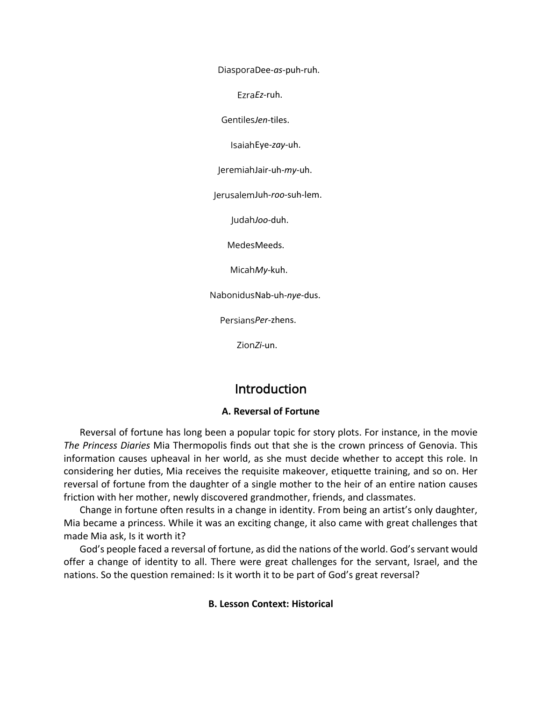DiasporaDee-*as*-puh-ruh. Ezra*Ez-*ruh. Gentiles*Jen-*tiles. IsaiahEye-*zay-*uh. JeremiahJair-uh*-my-*uh. JerusalemJuh-*roo-*suh-lem. Judah*Joo-*duh. MedesMeeds. Micah*My-*kuh. NabonidusNab-uh-*nye-*dus. Persians*Per-*zhens. Zion*Zi-*un.

# Introduction

### **A. Reversal of Fortune**

Reversal of fortune has long been a popular topic for story plots. For instance, in the movie *The Princess Diaries* Mia Thermopolis finds out that she is the crown princess of Genovia. This information causes upheaval in her world, as she must decide whether to accept this role. In considering her duties, Mia receives the requisite makeover, etiquette training, and so on. Her reversal of fortune from the daughter of a single mother to the heir of an entire nation causes friction with her mother, newly discovered grandmother, friends, and classmates.

Change in fortune often results in a change in identity. From being an artist's only daughter, Mia became a princess. While it was an exciting change, it also came with great challenges that made Mia ask, Is it worth it?

God's people faced a reversal of fortune, as did the nations of the world. God's servant would offer a change of identity to all. There were great challenges for the servant, Israel, and the nations. So the question remained: Is it worth it to be part of God's great reversal?

### **B. Lesson Context: Historical**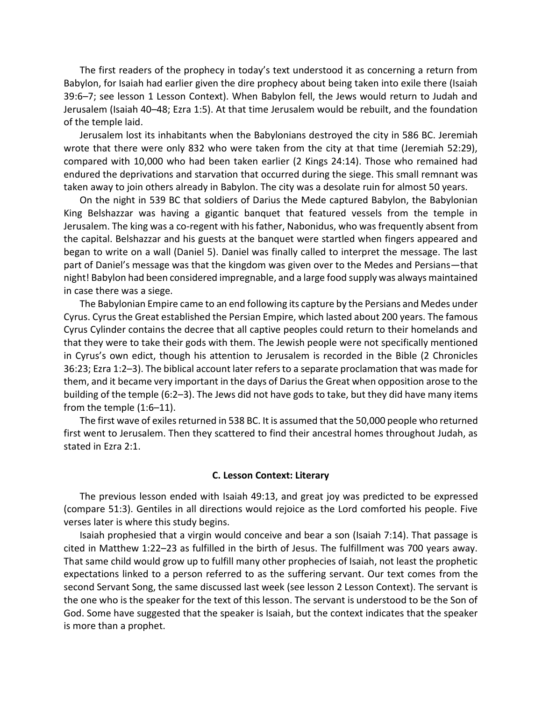The first readers of the prophecy in today's text understood it as concerning a return from Babylon, for Isaiah had earlier given the dire prophecy about being taken into exile there (Isaiah 39:6–7; see lesson 1 Lesson Context). When Babylon fell, the Jews would return to Judah and Jerusalem (Isaiah 40–48; Ezra 1:5). At that time Jerusalem would be rebuilt, and the foundation of the temple laid.

Jerusalem lost its inhabitants when the Babylonians destroyed the city in 586 BC. Jeremiah wrote that there were only 832 who were taken from the city at that time (Jeremiah 52:29), compared with 10,000 who had been taken earlier (2 Kings 24:14). Those who remained had endured the deprivations and starvation that occurred during the siege. This small remnant was taken away to join others already in Babylon. The city was a desolate ruin for almost 50 years.

On the night in 539 BC that soldiers of Darius the Mede captured Babylon, the Babylonian King Belshazzar was having a gigantic banquet that featured vessels from the temple in Jerusalem. The king was a co-regent with his father, Nabonidus, who was frequently absent from the capital. Belshazzar and his guests at the banquet were startled when fingers appeared and began to write on a wall (Daniel 5). Daniel was finally called to interpret the message. The last part of Daniel's message was that the kingdom was given over to the Medes and Persians—that night! Babylon had been considered impregnable, and a large food supply was always maintained in case there was a siege.

The Babylonian Empire came to an end following its capture by the Persians and Medes under Cyrus. Cyrus the Great established the Persian Empire, which lasted about 200 years. The famous Cyrus Cylinder contains the decree that all captive peoples could return to their homelands and that they were to take their gods with them. The Jewish people were not specifically mentioned in Cyrus's own edict, though his attention to Jerusalem is recorded in the Bible (2 Chronicles 36:23; Ezra 1:2–3). The biblical account later refers to a separate proclamation that was made for them, and it became very important in the days of Darius the Great when opposition arose to the building of the temple (6:2–3). The Jews did not have gods to take, but they did have many items from the temple (1:6–11).

The first wave of exiles returned in 538 BC. It is assumed that the 50,000 people who returned first went to Jerusalem. Then they scattered to find their ancestral homes throughout Judah, as stated in Ezra 2:1.

#### **C. Lesson Context: Literary**

The previous lesson ended with Isaiah 49:13, and great joy was predicted to be expressed (compare 51:3). Gentiles in all directions would rejoice as the Lord comforted his people. Five verses later is where this study begins.

Isaiah prophesied that a virgin would conceive and bear a son (Isaiah 7:14). That passage is cited in Matthew 1:22–23 as fulfilled in the birth of Jesus. The fulfillment was 700 years away. That same child would grow up to fulfill many other prophecies of Isaiah, not least the prophetic expectations linked to a person referred to as the suffering servant. Our text comes from the second Servant Song, the same discussed last week (see lesson 2 Lesson Context). The servant is the one who is the speaker for the text of this lesson. The servant is understood to be the Son of God. Some have suggested that the speaker is Isaiah, but the context indicates that the speaker is more than a prophet.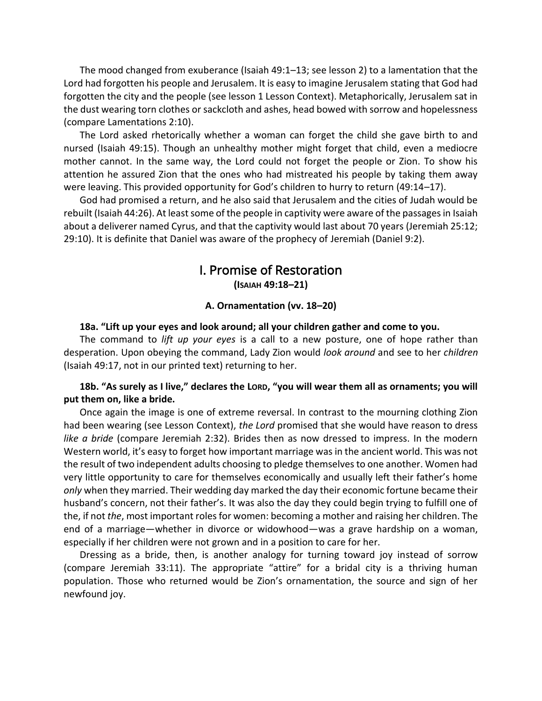The mood changed from exuberance (Isaiah 49:1–13; see lesson 2) to a lamentation that the Lord had forgotten his people and Jerusalem. It is easy to imagine Jerusalem stating that God had forgotten the city and the people (see lesson 1 Lesson Context). Metaphorically, Jerusalem sat in the dust wearing torn clothes or sackcloth and ashes, head bowed with sorrow and hopelessness (compare Lamentations 2:10).

The Lord asked rhetorically whether a woman can forget the child she gave birth to and nursed (Isaiah 49:15). Though an unhealthy mother might forget that child, even a mediocre mother cannot. In the same way, the Lord could not forget the people or Zion. To show his attention he assured Zion that the ones who had mistreated his people by taking them away were leaving. This provided opportunity for God's children to hurry to return (49:14–17).

God had promised a return, and he also said that Jerusalem and the cities of Judah would be rebuilt (Isaiah 44:26). At least some of the people in captivity were aware of the passages in Isaiah about a deliverer named Cyrus, and that the captivity would last about 70 years (Jeremiah 25:12; 29:10). It is definite that Daniel was aware of the prophecy of Jeremiah (Daniel 9:2).

# I. Promise of Restoration

**(ISAIAH 49:18–21)**

#### **A. Ornamentation (vv. 18–20)**

#### **18a. "Lift up your eyes and look around; all your children gather and come to you.**

The command to *lift up your eyes* is a call to a new posture, one of hope rather than desperation. Upon obeying the command, Lady Zion would *look around* and see to her *children* (Isaiah 49:17, not in our printed text) returning to her.

### **18b.** "As surely as I live," declares the LORD, "you will wear them all as ornaments; you will **put them on, like a bride.**

Once again the image is one of extreme reversal. In contrast to the mourning clothing Zion had been wearing (see Lesson Context), *the Lord* promised that she would have reason to dress *like a bride* (compare Jeremiah 2:32). Brides then as now dressed to impress. In the modern Western world, it's easy to forget how important marriage was in the ancient world. This was not the result of two independent adults choosing to pledge themselves to one another. Women had very little opportunity to care for themselves economically and usually left their father's home *only* when they married. Their wedding day marked the day their economic fortune became their husband's concern, not their father's. It was also the day they could begin trying to fulfill one of the, if not *the*, most important roles for women: becoming a mother and raising her children. The end of a marriage—whether in divorce or widowhood—was a grave hardship on a woman, especially if her children were not grown and in a position to care for her.

Dressing as a bride, then, is another analogy for turning toward joy instead of sorrow (compare Jeremiah 33:11). The appropriate "attire" for a bridal city is a thriving human population. Those who returned would be Zion's ornamentation, the source and sign of her newfound joy.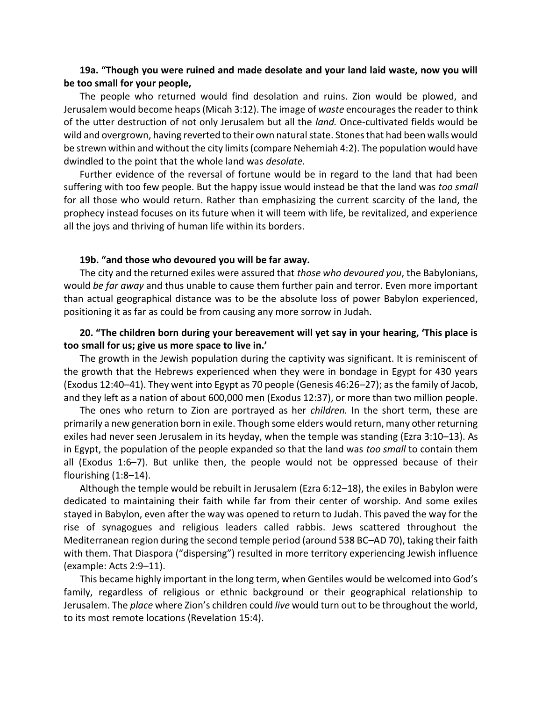### **19a. "Though you were ruined and made desolate and your land laid waste, now you will be too small for your people,**

The people who returned would find desolation and ruins. Zion would be plowed, and Jerusalem would become heaps (Micah 3:12). The image of *waste* encourages the reader to think of the utter destruction of not only Jerusalem but all the *land.* Once-cultivated fields would be wild and overgrown, having reverted to their own natural state. Stones that had been walls would be strewn within and without the city limits (compare Nehemiah 4:2). The population would have dwindled to the point that the whole land was *desolate.*

Further evidence of the reversal of fortune would be in regard to the land that had been suffering with too few people. But the happy issue would instead be that the land was *too small* for all those who would return. Rather than emphasizing the current scarcity of the land, the prophecy instead focuses on its future when it will teem with life, be revitalized, and experience all the joys and thriving of human life within its borders.

#### **19b. "and those who devoured you will be far away.**

The city and the returned exiles were assured that *those who devoured you*, the Babylonians, would *be far away* and thus unable to cause them further pain and terror. Even more important than actual geographical distance was to be the absolute loss of power Babylon experienced, positioning it as far as could be from causing any more sorrow in Judah.

### **20. "The children born during your bereavement will yet say in your hearing, 'This place is too small for us; give us more space to live in.'**

The growth in the Jewish population during the captivity was significant. It is reminiscent of the growth that the Hebrews experienced when they were in bondage in Egypt for 430 years (Exodus 12:40–41). They went into Egypt as 70 people (Genesis 46:26–27); as the family of Jacob, and they left as a nation of about 600,000 men (Exodus 12:37), or more than two million people.

The ones who return to Zion are portrayed as her *children.* In the short term, these are primarily a new generation born in exile. Though some elders would return, many other returning exiles had never seen Jerusalem in its heyday, when the temple was standing (Ezra 3:10–13). As in Egypt, the population of the people expanded so that the land was *too small* to contain them all (Exodus 1:6–7). But unlike then, the people would not be oppressed because of their flourishing (1:8–14).

Although the temple would be rebuilt in Jerusalem (Ezra 6:12–18), the exiles in Babylon were dedicated to maintaining their faith while far from their center of worship. And some exiles stayed in Babylon, even after the way was opened to return to Judah. This paved the way for the rise of synagogues and religious leaders called rabbis. Jews scattered throughout the Mediterranean region during the second temple period (around 538 BC–AD 70), taking their faith with them. That Diaspora ("dispersing") resulted in more territory experiencing Jewish influence (example: Acts 2:9–11).

This became highly important in the long term, when Gentiles would be welcomed into God's family, regardless of religious or ethnic background or their geographical relationship to Jerusalem. The *place* where Zion's children could *live* would turn out to be throughout the world, to its most remote locations (Revelation 15:4).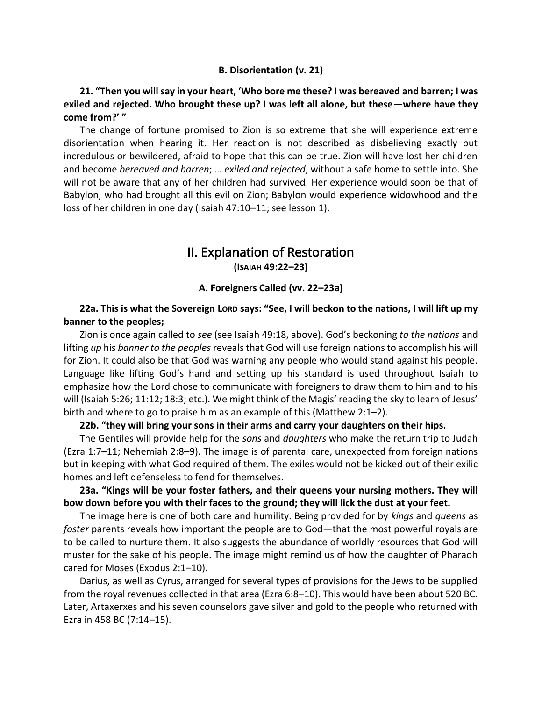#### **B. Disorientation (v. 21)**

**21. "Then you will say in your heart, 'Who bore me these? I was bereaved and barren; I was exiled and rejected. Who brought these up? I was left all alone, but these—where have they come from?' "**

The change of fortune promised to Zion is so extreme that she will experience extreme disorientation when hearing it. Her reaction is not described as disbelieving exactly but incredulous or bewildered, afraid to hope that this can be true. Zion will have lost her children and become *bereaved and barren*; … *exiled and rejected*, without a safe home to settle into. She will not be aware that any of her children had survived. Her experience would soon be that of Babylon, who had brought all this evil on Zion; Babylon would experience widowhood and the loss of her children in one day (Isaiah 47:10–11; see lesson 1).

# II. Explanation of Restoration **(ISAIAH 49:22–23)**

**A. Foreigners Called (vv. 22–23a)**

### **22a. This is what the Sovereign LORD says: "See, I will beckon to the nations, I will lift up my banner to the peoples;**

Zion is once again called to *see* (see Isaiah 49:18, above). God's beckoning *to the nations* and lifting *up* his *banner to the peoples* reveals that God will use foreign nations to accomplish his will for Zion. It could also be that God was warning any people who would stand against his people. Language like lifting God's hand and setting up his standard is used throughout Isaiah to emphasize how the Lord chose to communicate with foreigners to draw them to him and to his will (Isaiah 5:26; 11:12; 18:3; etc.). We might think of the Magis' reading the sky to learn of Jesus' birth and where to go to praise him as an example of this (Matthew 2:1–2).

#### **22b. "they will bring your sons in their arms and carry your daughters on their hips.**

The Gentiles will provide help for the *sons* and *daughters* who make the return trip to Judah (Ezra 1:7–11; Nehemiah 2:8–9). The image is of parental care, unexpected from foreign nations but in keeping with what God required of them. The exiles would not be kicked out of their exilic homes and left defenseless to fend for themselves.

### **23a. "Kings will be your foster fathers, and their queens your nursing mothers. They will bow down before you with their faces to the ground; they will lick the dust at your feet.**

The image here is one of both care and humility. Being provided for by *kings* and *queens* as *foster* parents reveals how important the people are to God—that the most powerful royals are to be called to nurture them. It also suggests the abundance of worldly resources that God will muster for the sake of his people. The image might remind us of how the daughter of Pharaoh cared for Moses (Exodus 2:1–10).

Darius, as well as Cyrus, arranged for several types of provisions for the Jews to be supplied from the royal revenues collected in that area (Ezra 6:8–10). This would have been about 520 BC. Later, Artaxerxes and his seven counselors gave silver and gold to the people who returned with Ezra in 458 BC (7:14–15).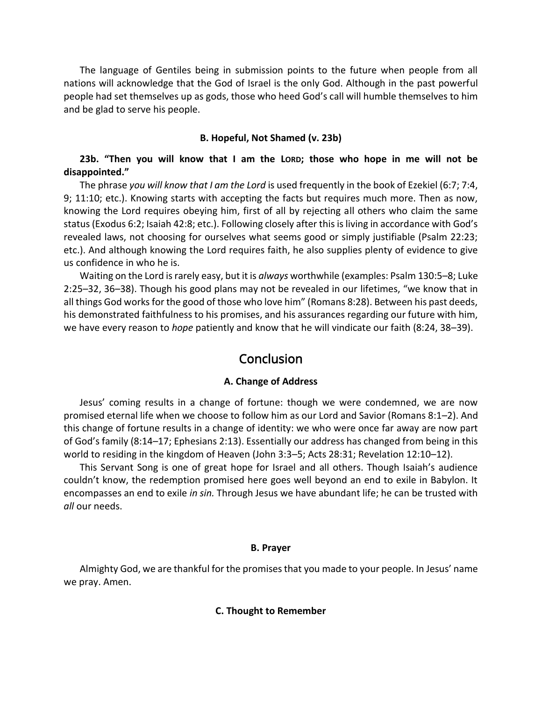The language of Gentiles being in submission points to the future when people from all nations will acknowledge that the God of Israel is the only God. Although in the past powerful people had set themselves up as gods, those who heed God's call will humble themselves to him and be glad to serve his people.

#### **B. Hopeful, Not Shamed (v. 23b)**

#### **23b. "Then you will know that I am the LORD; those who hope in me will not be disappointed."**

The phrase *you will know that I am the Lord* is used frequently in the book of Ezekiel (6:7; 7:4, 9; 11:10; etc.). Knowing starts with accepting the facts but requires much more. Then as now, knowing the Lord requires obeying him, first of all by rejecting all others who claim the same status (Exodus 6:2; Isaiah 42:8; etc.). Following closely after this is living in accordance with God's revealed laws, not choosing for ourselves what seems good or simply justifiable (Psalm 22:23; etc.). And although knowing the Lord requires faith, he also supplies plenty of evidence to give us confidence in who he is.

Waiting on the Lord is rarely easy, but it is *always* worthwhile (examples: Psalm 130:5–8; Luke 2:25–32, 36–38). Though his good plans may not be revealed in our lifetimes, "we know that in all things God works for the good of those who love him" (Romans 8:28). Between his past deeds, his demonstrated faithfulness to his promises, and his assurances regarding our future with him, we have every reason to *hope* patiently and know that he will vindicate our faith (8:24, 38–39).

# Conclusion

#### **A. Change of Address**

Jesus' coming results in a change of fortune: though we were condemned, we are now promised eternal life when we choose to follow him as our Lord and Savior (Romans 8:1–2). And this change of fortune results in a change of identity: we who were once far away are now part of God's family (8:14–17; Ephesians 2:13). Essentially our address has changed from being in this world to residing in the kingdom of Heaven (John 3:3–5; Acts 28:31; Revelation 12:10–12).

This Servant Song is one of great hope for Israel and all others. Though Isaiah's audience couldn't know, the redemption promised here goes well beyond an end to exile in Babylon. It encompasses an end to exile *in sin.* Through Jesus we have abundant life; he can be trusted with *all* our needs.

#### **B. Prayer**

Almighty God, we are thankful for the promises that you made to your people. In Jesus' name we pray. Amen.

#### **C. Thought to Remember**